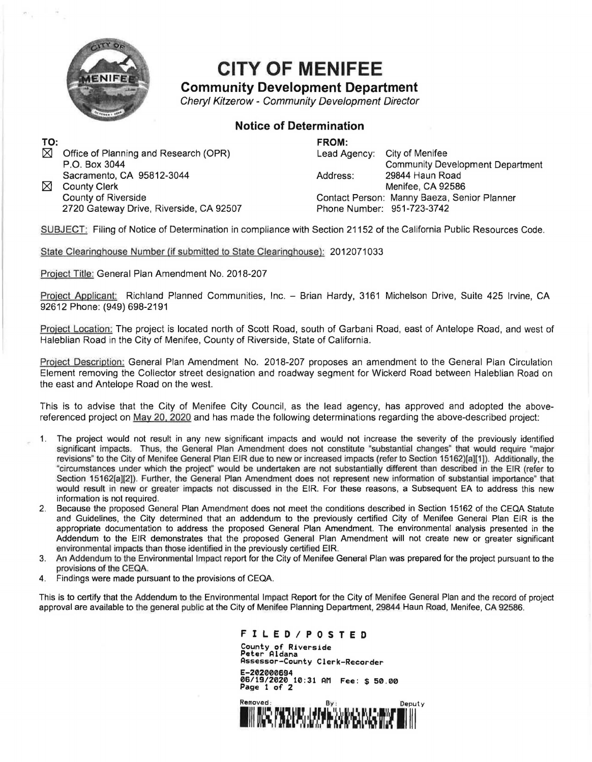

## **CITY OF MENIFEE**

## **Community Development Department**

Cheryl Kitzerow - Community Development Director

## **Notice of Determination**

TO:  $\boxtimes$ Office of Planning and Research (QPR) P.O. Box 3044 Sacramento, CA 95812-3044  $\boxtimes$  County Clerk County of Riverside

**FROM:**  Lead Agency: City of Menifee

Address: Community Development Department 29844 Haun Road Menifee, CA 92586 Contact Person: Manny Baeza, Senior Planner Phone Number: 951-723-3742

SUBJECT: Filing of Notice of Determination in compliance with Section 21152 of the California Public Resources Code.

State Clearinghouse Number (if submitted to State Clearinghouse): 2012071033

Project Title: General Plan Amendment No. 2018-207

2720 Gateway Drive, Riverside, CA 92507

Project Applicant: Richland Planned Communities, Inc. - Brian Hardy, 3161 Michelson Drive, Suite 425 Irvine, CA 92612 Phone: (949) 698-2191

Project Location: The project is located north of Scott Road, south of Garbani Road, east of Antelope Road, and west of Haleblian Road in the City of Menifee, County of Riverside, State of California.

Project Description: General Plan Amendment No. 2018-207 proposes an amendment to the General Plan Circulation Element removing the Collector street designation and roadway segment for Wickerd Road between Haleblian Road on the east and Antelope Road on the west.

This is to advise that the City of Menifee City Council, as the lead agency, has approved and adopted the abovereferenced project on May 20. 2020 and has made the following determinations regarding the above-described project:

- 1. The project would not result in any new significant impacts and would not increase the severity of the previously identified significant impacts. Thus, the General Plan Amendment does not constitute "substantial changes" that would require "major revisions" to the City of Menifee General Plan EIR due to new or increased impacts (refer to Section 15162)[a][1]). Additionally, the "circumstances under which the project" would be undertaken are not substantially different than described in the EIR (refer to Section 15162[a][2]). Further, the General Plan Amendment does not represent new information of substantial importance" that would result in new or greater impacts not discussed in the EIR. For these reasons, a Subsequent EA to address this new information is not required.
- 2. Because the proposed General Plan Amendment does not meet the conditions described in Section 15162 of the CEQA Statute and Guidelines, the City determined that an addendum to the previously certified City of Menifee General Plan EIR is the appropriate documentation to address the proposed General Plan Amendment. The environmental analysis presented in the Addendum to the EIR demonstrates that the proposed General Plan Amendment will not create new or greater significant environmental impacts than those identified in the previously certified EIR.
- 3. An Addendum to the Environmental Impact report for the City of Menifee General Plan was prepared for the project pursuant to the provisions of the CEQA.
- 4. Findings were made pursuant to the provisions of CEQA.

This is to certify that the Addendum to the Environmental Impact Report for the City of Menifee General Plan and the record of project approval are available to the general public at the City of Menifee Planning Department, 29844 Haun Road, Menifee, CA 92586.

**F I L E D I P 0 S T E D** 

County of Riverside Peter Aldana Assessor-County Clerk-Recorder E-202000694 06/19/2020 10:31 AM Fee: \$ 50.00 Page 1 of 2